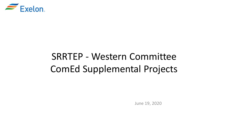

# SRRTEP - Western Committee ComEd Supplemental Projects

June 19, 2020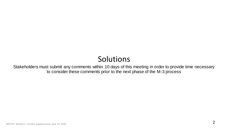## Solutions

Stakeholders must submit any comments within 10 days of this meeting in order to provide time necessary to consider these comments prior to the next phase of the M-3 process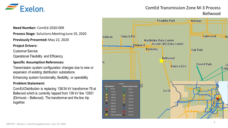

### ComEd Transmission Zone M-3 Process Bellwood

**Need Number:** ComEd-2020-009

**Process Stage:** Solutions Meeting June 19, 2020

**Previously Presented:** May 22, 2020

#### **Project Drivers:**

Customer Service

Operational Flexibility and Efficiency

#### **Specific Assumption References:**

Transmission system configuration changes due to new or expansion of existing distribution substations

Enhancing system functionality, flexibility, or operability

#### **Problem Statement:**

ComEd Distribution is replacing 138/34 kV transformer 78 at Bellwood which is currently tapped from 138 kV line 13501 (Elmhurst – Bellwood). The transformer and the line trip together.

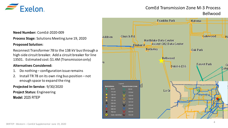

### ComEd Transmission Zone M-3 Process Bellwood

**Need Number:** ComEd-2020-009

**Process Stage:** Solutions Meeting June 19, 2020

#### **Proposed Solution:**

Reconnect Transformer 78 to the 138 kV bus through a high-side circuit breaker. Add a circuit breaker for line 13501. Estimated cost: \$1.4M (Transmission only)

#### **Alternatives Considered:**

- 1. Do nothing configuration issue remains
- 2. Install TR 78 on its own ring bus position not enough space to expand the ring

#### **Projected In-Service:** 9/30/2020

**Project Status:** Engineering

**Model:** 2025 RTEP

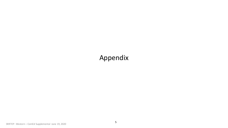## Appendix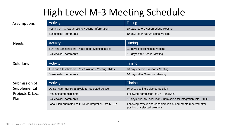# High Level M-3 Meeting Schedule

Activity **Timing** 

TOs and Stakeholders Post Needs Meeting slides 10 days before Needs Meeting

Stakeholder comments 10 days after Needs Meeting

| Assumptions |  |
|-------------|--|
|-------------|--|

| <b>Activity</b>                               | Timing                             |
|-----------------------------------------------|------------------------------------|
| Posting of TO Assumptions Meeting information | 20 days before Assumptions Meeting |
| Stakeholder comments                          | 10 days after Assumptions Meeting  |

Needs

#### **Solutions**

Submission of Supplemental Projects & Local Plan

| <b>Activity</b>                                    | Timing                           |
|----------------------------------------------------|----------------------------------|
| TOs and Stakeholders Post Solutions Meeting slides | 10 days before Solutions Meeting |
| Stakeholder comments                               | 10 days after Solutions Meeting  |

| <b>Activity</b>                                       | Timing                                                                                         |
|-------------------------------------------------------|------------------------------------------------------------------------------------------------|
| Do No Harm (DNH) analysis for selected solution       | Prior to posting selected solution                                                             |
| Post selected solution(s)                             | Following completion of DNH analysis                                                           |
| Stakeholder comments                                  | 10 days prior to Local Plan Submission for integration into RTEP                               |
| Local Plan submitted to PJM for integration into RTEP | Following review and consideration of comments received after<br>posting of selected solutions |